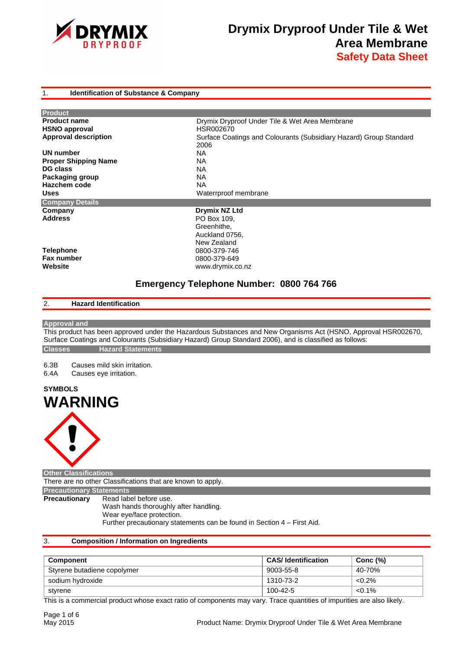

## 1. **Identification of Substance & Company**

| Drymix Dryproof Under Tile & Wet Area Membrane                     |
|--------------------------------------------------------------------|
| HSR002670                                                          |
| Surface Coatings and Colourants (Subsidiary Hazard) Group Standard |
| 2006                                                               |
| NA.                                                                |
| <b>NA</b>                                                          |
| ΝA                                                                 |
| <b>NA</b>                                                          |
| <b>NA</b>                                                          |
| Waterrproof membrane                                               |
|                                                                    |
| Drymix NZ Ltd                                                      |
| PO Box 109.                                                        |
| Greenhithe,                                                        |
| Auckland 0756,                                                     |
| New Zealand                                                        |
| 0800-379-746                                                       |
| 0800-379-649                                                       |
| www.drymix.co.nz                                                   |
|                                                                    |

# **Emergency Telephone Number: 0800 764 766**

# 2. **Hazard Identification**

## **Approval and**

This product has been approved under the Hazardous Substances and New Organisms Act (HSNO, Approval HSR002670, Surface Coatings and Colourants (Subsidiary Hazard) Group Standard 2006), and is classified as follows: **Classes Hazard Statements** 

6.3B Causes mild skin irritation.<br>6.4A Causes eve irritation.

Causes eye irritation.





**Other Classifications** 

There are no other Classifications that are known to apply.

**Precautionary Statements** 

**Precautionary** Read label before use.

Wash hands thoroughly after handling. Wear eye/face protection. Further precautionary statements can be found in Section 4 – First Aid.

# 3. **Composition / Information on Ingredients**

| Component                   | <b>CAS/Identification</b> | Conc $(\%)$ |
|-----------------------------|---------------------------|-------------|
| Styrene butadiene copolymer | 9003-55-8                 | 40-70%      |
| sodium hydroxide            | 1310-73-2                 | $< 0.2\%$   |
| styrene                     | 100-42-5                  | $< 0.1\%$   |

This is a commercial product whose exact ratio of components may vary. Trace quantities of impurities are also likely.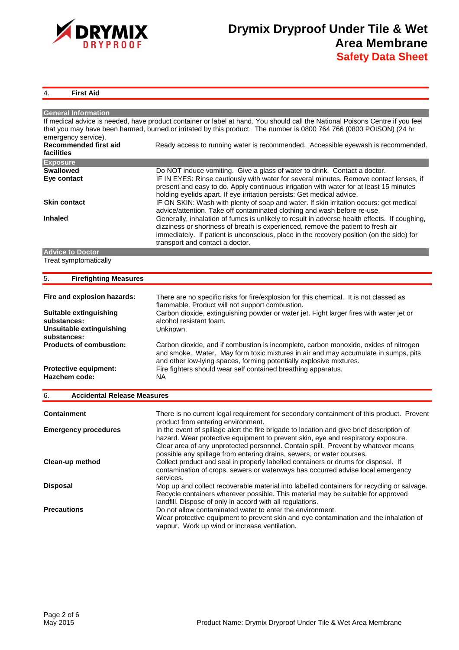

# 4. **First Aid**

| <b>General Information</b>                    |                                                                                                                               |
|-----------------------------------------------|-------------------------------------------------------------------------------------------------------------------------------|
|                                               | If medical advice is needed, have product container or label at hand. You should call the National Poisons Centre if you feel |
|                                               | that you may have been harmed, burned or irritated by this product. The number is 0800 764 766 (0800 POISON) (24 hr           |
| emergency service).                           |                                                                                                                               |
| Recommended first aid                         | Ready access to running water is recommended. Accessible eyewash is recommended.                                              |
| facilities                                    |                                                                                                                               |
| <b>Exposure</b>                               |                                                                                                                               |
| <b>Swallowed</b>                              | Do NOT induce vomiting. Give a glass of water to drink. Contact a doctor.                                                     |
| Eye contact                                   | IF IN EYES: Rinse cautiously with water for several minutes. Remove contact lenses, if                                        |
|                                               | present and easy to do. Apply continuous irrigation with water for at least 15 minutes                                        |
|                                               | holding eyelids apart. If eye irritation persists: Get medical advice.                                                        |
| <b>Skin contact</b>                           | IF ON SKIN: Wash with plenty of soap and water. If skin irritation occurs: get medical                                        |
|                                               | advice/attention. Take off contaminated clothing and wash before re-use.                                                      |
| <b>Inhaled</b>                                | Generally, inhalation of fumes is unlikely to result in adverse health effects. If coughing,                                  |
|                                               | dizziness or shortness of breath is experienced, remove the patient to fresh air                                              |
|                                               | immediately. If patient is unconscious, place in the recovery position (on the side) for                                      |
|                                               | transport and contact a doctor.                                                                                               |
| <b>Advice to Doctor</b>                       |                                                                                                                               |
| Treat symptomatically                         |                                                                                                                               |
|                                               |                                                                                                                               |
| 5.<br><b>Firefighting Measures</b>            |                                                                                                                               |
|                                               |                                                                                                                               |
| Fire and explosion hazards:                   | There are no specific risks for fire/explosion for this chemical. It is not classed as                                        |
|                                               | flammable. Product will not support combustion.                                                                               |
| Suitable extinguishing                        | Carbon dioxide, extinguishing powder or water jet. Fight larger fires with water jet or                                       |
| substances:                                   | alcohol resistant foam.                                                                                                       |
| <b>Unsuitable extinguishing</b>               | Unknown.                                                                                                                      |
| substances:                                   |                                                                                                                               |
| <b>Products of combustion:</b>                | Carbon dioxide, and if combustion is incomplete, carbon monoxide, oxides of nitrogen                                          |
|                                               | and smoke. Water. May form toxic mixtures in air and may accumulate in sumps, pits                                            |
|                                               | and other low-lying spaces, forming potentially explosive mixtures.                                                           |
| <b>Protective equipment:</b><br>Hazchem code: | Fire fighters should wear self contained breathing apparatus.                                                                 |
|                                               | <b>NA</b>                                                                                                                     |
| <b>Accidental Release Measures</b><br>6.      |                                                                                                                               |
|                                               |                                                                                                                               |
| <b>Containment</b>                            | There is no current legal requirement for secondary containment of this product. Prevent                                      |
|                                               | product from entering environment.                                                                                            |
| <b>Emergency procedures</b>                   | In the event of spillage alert the fire brigade to location and give brief description of                                     |
|                                               | hazard. Wear protective equipment to prevent skin, eye and respiratory exposure.                                              |
|                                               | Clear area of any unprotected personnel. Contain spill. Prevent by whatever means                                             |
|                                               | possible any spillage from entering drains, sewers, or water courses.                                                         |
| Clean-up method                               | Collect product and seal in properly labelled containers or drums for disposal. If                                            |
|                                               | contamination of crops, sewers or waterways has occurred advise local emergency                                               |
|                                               | services.                                                                                                                     |
| <b>Disposal</b>                               | Mop up and collect recoverable material into labelled containers for recycling or salvage.                                    |
|                                               | Recycle containers wherever possible. This material may be suitable for approved                                              |
|                                               | landfill. Dispose of only in accord with all regulations.                                                                     |
| <b>Precautions</b>                            | Do not allow contaminated water to enter the environment.                                                                     |
|                                               | Wear protective equipment to prevent skin and eye contamination and the inhalation of                                         |
|                                               | vapour. Work up wind or increase ventilation.                                                                                 |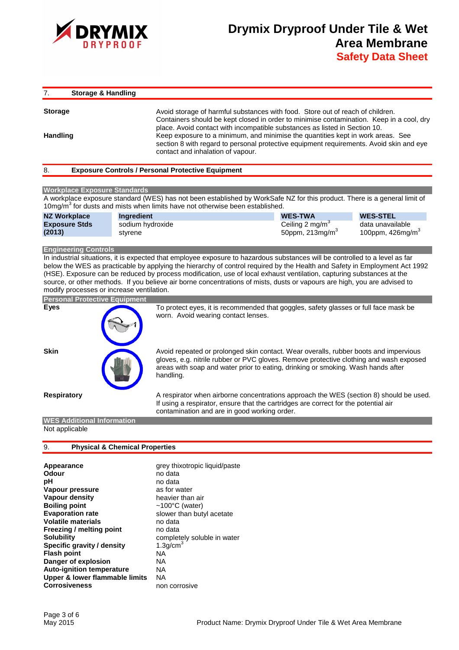

7. **Storage & Handling** 

**Storage Avoid storage of harmful substances with food.** Store out of reach of children. Containers should be kept closed in order to minimise contamination. Keep in a cool, dry place. Avoid contact with incompatible substances as listed in Section 10. **Handling** Keep exposure to a minimum, and minimise the quantities kept in work areas. See section 8 with regard to personal protective equipment requirements. Avoid skin and eye contact and inhalation of vapour.

#### 8. **Exposure Controls / Personal Protective Equipment**

#### **Workplace Exposure Standards**

A workplace exposure standard (WES) has not been established by WorkSafe NZ for this product. There is a general limit of 10mg/m $3$  for dusts and mists when limits have not otherwise been established.

| <b>NZ Workplace</b>  | <b>Ingredient</b> | <b>WES-TWA</b>               | <b>WES-STEL</b>        |
|----------------------|-------------------|------------------------------|------------------------|
| <b>Exposure Stds</b> | sodium hydroxide  | Ceiling 2 mg/m <sup>3</sup>  | data unavailable       |
| (2013)               | stvrene           | 50ppm, $213$ mg/m $^{\circ}$ | 100ppm, $426$ mg/m $3$ |

#### **Engineering Controls**

In industrial situations, it is expected that employee exposure to hazardous substances will be controlled to a level as far below the WES as practicable by applying the hierarchy of control required by the Health and Safety in Employment Act 1992 (HSE). Exposure can be reduced by process modification, use of local exhaust ventilation, capturing substances at the source, or other methods. If you believe air borne concentrations of mists, dusts or vapours are high, you are advised to modify processes or increase ventilation.



## **WES Additional Information**  Not applicable

#### 9. **Physical & Chemical Properties**

| <b>Evaporation rate</b><br>slower than butyl acetate<br><b>Volatile materials</b><br>no data<br>Freezing / melting point<br>no data<br><b>Solubility</b><br>completely soluble in water<br>1.3g/cm $3$<br>Specific gravity / density<br><b>Flash point</b><br><b>NA</b><br>Danger of explosion<br>NA<br><b>Auto-ignition temperature</b><br>NA<br>Upper & lower flammable limits<br>ΝA<br><b>Corrosiveness</b><br>non corrosive | Appearance<br>Odour<br>рH<br>Vapour pressure<br><b>Vapour density</b><br><b>Boiling point</b> | grey thixotropic liquid/paste<br>no data<br>no data<br>as for water<br>heavier than air<br>~100 $\degree$ C (water) |
|---------------------------------------------------------------------------------------------------------------------------------------------------------------------------------------------------------------------------------------------------------------------------------------------------------------------------------------------------------------------------------------------------------------------------------|-----------------------------------------------------------------------------------------------|---------------------------------------------------------------------------------------------------------------------|
|---------------------------------------------------------------------------------------------------------------------------------------------------------------------------------------------------------------------------------------------------------------------------------------------------------------------------------------------------------------------------------------------------------------------------------|-----------------------------------------------------------------------------------------------|---------------------------------------------------------------------------------------------------------------------|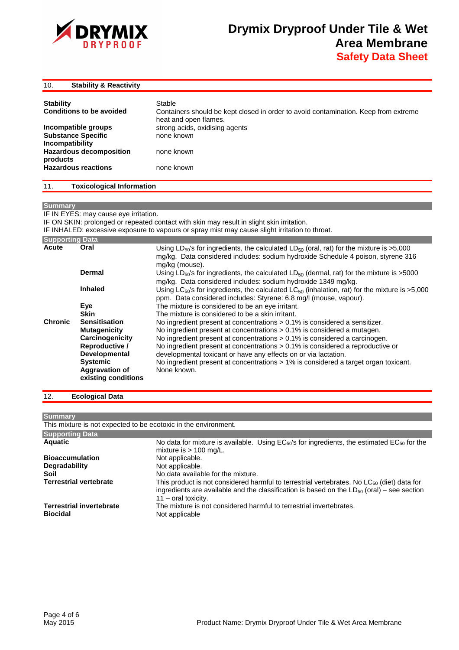

| <b>Stability &amp; Reactivity</b> |  |  |  |  | 10. |
|-----------------------------------|--|--|--|--|-----|
|-----------------------------------|--|--|--|--|-----|

| <b>Stability</b><br><b>Conditions to be avoided</b>                 | Stable<br>Containers should be kept closed in order to avoid contamination. Keep from extreme<br>heat and open flames. |
|---------------------------------------------------------------------|------------------------------------------------------------------------------------------------------------------------|
| Incompatible groups<br><b>Substance Specific</b><br>Incompatibility | strong acids, oxidising agents<br>none known                                                                           |
| <b>Hazardous decomposition</b><br>products                          | none known                                                                                                             |
| <b>Hazardous reactions</b>                                          | none known                                                                                                             |

#### 11. **Toxicological Information**

## **Summary**

IF IN EYES: may cause eye irritation.

IF ON SKIN: prolonged or repeated contact with skin may result in slight skin irritation.

IF INHALED: excessive exposure to vapours or spray mist may cause slight irritation to throat.

| <b>Supporting Data</b> |                                              |                                                                                                                                                                                                                        |
|------------------------|----------------------------------------------|------------------------------------------------------------------------------------------------------------------------------------------------------------------------------------------------------------------------|
| Acute                  | Oral                                         | Using LD <sub>50</sub> 's for ingredients, the calculated LD <sub>50</sub> (oral, rat) for the mixture is >5,000<br>mg/kg. Data considered includes: sodium hydroxide Schedule 4 poison, styrene 316<br>mg/kg (mouse). |
|                        | Dermal                                       | Using LD <sub>50</sub> 's for ingredients, the calculated LD <sub>50</sub> (dermal, rat) for the mixture is >5000<br>mg/kg. Data considered includes: sodium hydroxide 1349 mg/kg.                                     |
|                        | <b>Inhaled</b>                               | Using LC <sub>50</sub> 's for ingredients, the calculated LC <sub>50</sub> (inhalation, rat) for the mixture is >5,000<br>ppm. Data considered includes: Styrene: 6.8 mg/l (mouse, vapour).                            |
|                        | Eye                                          | The mixture is considered to be an eye irritant.                                                                                                                                                                       |
|                        | <b>Skin</b>                                  | The mixture is considered to be a skin irritant.                                                                                                                                                                       |
| <b>Chronic</b>         | <b>Sensitisation</b>                         | No ingredient present at concentrations $> 0.1\%$ is considered a sensitizer.                                                                                                                                          |
|                        | <b>Mutagenicity</b>                          | No ingredient present at concentrations > 0.1% is considered a mutagen.                                                                                                                                                |
|                        | Carcinogenicity                              | No ingredient present at concentrations $> 0.1\%$ is considered a carcinogen.                                                                                                                                          |
|                        | <b>Reproductive /</b>                        | No ingredient present at concentrations $> 0.1\%$ is considered a reproductive or                                                                                                                                      |
|                        | <b>Developmental</b>                         | developmental toxicant or have any effects on or via lactation.                                                                                                                                                        |
|                        | <b>Systemic</b>                              | No ingredient present at concentrations > 1% is considered a target organ toxicant.                                                                                                                                    |
|                        | <b>Aggravation of</b><br>existing conditions | None known.                                                                                                                                                                                                            |

# 12. **Ecological Data**

**Summary**  This mixture is not expected to be ecotoxic in the environment. **Supporting Data** 

| No data for mixture is available. Using $EC_{50}$ 's for ingredients, the estimated $EC_{50}$ for the<br>mixture is $> 100$ mg/L.                                                                                                  |
|------------------------------------------------------------------------------------------------------------------------------------------------------------------------------------------------------------------------------------|
| Not applicable.                                                                                                                                                                                                                    |
| Not applicable.                                                                                                                                                                                                                    |
| No data available for the mixture.                                                                                                                                                                                                 |
| This product is not considered harmful to terrestrial vertebrates. No $LC_{50}$ (diet) data for<br>ingredients are available and the classification is based on the $LD_{50}$ (oral) – see section<br>$11 - \text{oral toxicity.}$ |
| The mixture is not considered harmful to terrestrial invertebrates.<br>Not applicable                                                                                                                                              |
|                                                                                                                                                                                                                                    |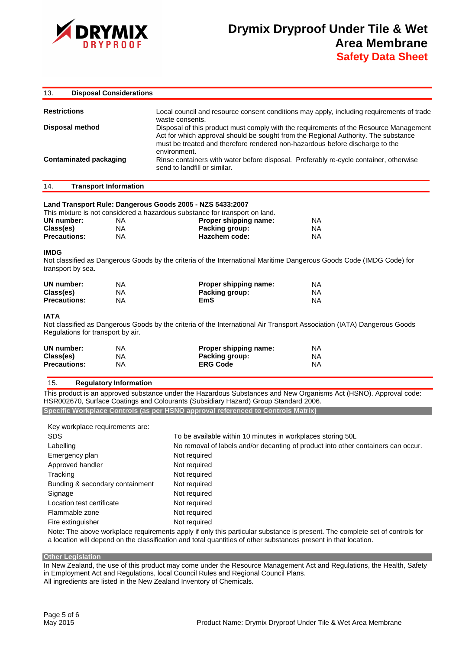

| 13.                 | <b>Disposal Considerations</b> |                                                                                                                                                                                                                                                                             |
|---------------------|--------------------------------|-----------------------------------------------------------------------------------------------------------------------------------------------------------------------------------------------------------------------------------------------------------------------------|
| <b>Restrictions</b> |                                | Local council and resource consent conditions may apply, including requirements of trade<br>waste consents.                                                                                                                                                                 |
|                     | <b>Disposal method</b>         | Disposal of this product must comply with the requirements of the Resource Management<br>Act for which approval should be sought from the Regional Authority. The substance<br>must be treated and therefore rendered non-hazardous before discharge to the<br>environment. |
|                     | Contaminated packaging         | Rinse containers with water before disposal. Preferably re-cycle container, otherwise<br>send to landfill or similar.                                                                                                                                                       |

#### 14. **Transport Information**

#### **Land Transport Rule: Dangerous Goods 2005 - NZS 5433:2007**

|                     |    | This mixture is not considered a hazardous substance for transport on land. |     |
|---------------------|----|-----------------------------------------------------------------------------|-----|
| UN number:          | ΝA | Proper shipping name:                                                       | NA. |
| Class(es)           | ΝA | Packing group:                                                              | NA. |
| <b>Precautions:</b> | ΝA | Hazchem code:                                                               | NA. |
|                     |    |                                                                             |     |

### **IMDG**

Not classified as Dangerous Goods by the criteria of the International Maritime Dangerous Goods Code (IMDG Code) for transport by sea.

| UN number:          | ΝA | Proper shipping name: | NA  |
|---------------------|----|-----------------------|-----|
| Class(es)           | ΝA | Packing group:        | NA. |
| <b>Precautions:</b> | NA | EmS                   | NA. |

# **IATA**

Not classified as Dangerous Goods by the criteria of the International Air Transport Association (IATA) Dangerous Goods Regulations for transport by air.

| UN number:          | NA | Proper shipping name: | ΝA |
|---------------------|----|-----------------------|----|
| Class(es)           | NA | Packing group:        | ΝA |
| <b>Precautions:</b> | NA | <b>ERG Code</b>       | ΝA |

#### 15. **Regulatory Information**

This product is an approved substance under the Hazardous Substances and New Organisms Act (HSNO). Approval code: HSR002670, Surface Coatings and Colourants (Subsidiary Hazard) Group Standard 2006. **Specific Workplace Controls (as per HSNO approval referenced to Controls Matrix)** 

Key workplace requirements are:

| To be available within 10 minutes in workplaces storing 50L                       |
|-----------------------------------------------------------------------------------|
| No removal of labels and/or decanting of product into other containers can occur. |
| Not required                                                                      |
| Not required                                                                      |
| Not required                                                                      |
| Not required                                                                      |
| Not required                                                                      |
| Not required                                                                      |
| Not required                                                                      |
| Not required                                                                      |
|                                                                                   |

Note: The above workplace requirements apply if only this particular substance is present. The complete set of controls for a location will depend on the classification and total quantities of other substances present in that location.

**Other Legislation** 

In New Zealand, the use of this product may come under the Resource Management Act and Regulations, the Health, Safety in Employment Act and Regulations, local Council Rules and Regional Council Plans.

All ingredients are listed in the New Zealand Inventory of Chemicals.